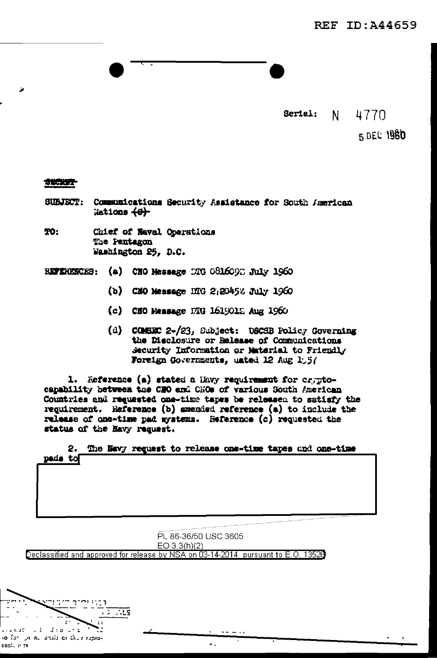Seriel:

4770 N -

5 DEC 1980

## SECRET

z

- Communications Security Assistance for South American **SUBJECT:** Nations (e)
- **TO:** Chief of Naval Operations The Pentagon Washington 25, D.C.

(a) CHO Message DTG 0816092 July 1960 REFERENCES:

- (b) CMO Message DTG 2:20452 July 1960
- (c) CHO Message DRG 1619012 Aug 1960
- (d) COMSEC 2-/23, Subject: USCSB Policy Governing the Disclosure or Release of Communications Security Information or Material to Friendly Foreign Governments, unted 12 Aug 1:5/

1. Reference (a) stated a Havy requirement for cryptocapability between the CNO and CNOs of various South American Countries and requested one-time tapes be released to satisfy the requirement. Reference (b) amended reference (a) to include the release of one-time pad systems. Reference (c) requested the status of the Navy request.

|         |  |  |  |  | 2. The Navy request to release one-time tapes and one-time |
|---------|--|--|--|--|------------------------------------------------------------|
| pads to |  |  |  |  |                                                            |

PL 86-36/50 USC 3605  $EO 3.3(h)(2)$ Declassified and approved for release by NSA on 03-14-2014  $\,$  pursuant to E.O. 13528

 $\Delta \sim$ 

ŢJ  $\sqrt{2}$  .  $\sqrt{25}$ 

so for yn nu onald or thus repro-

 $\sim$  1.

santi e es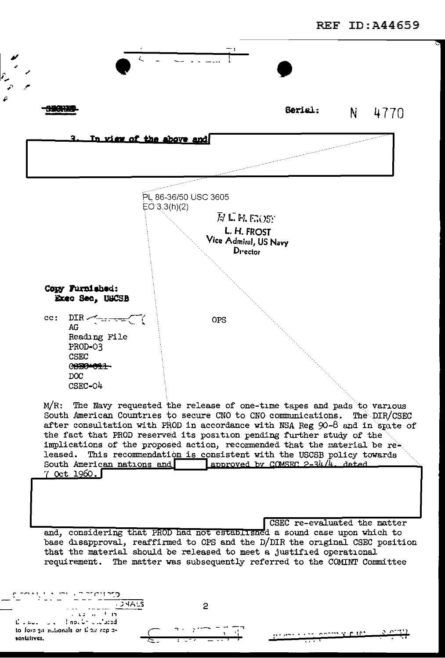

after consultation with PROD in accordance with NSA Reg 90-8 and in spite of the fact that PROD reserved its position pending further study of the implications of the proposed action, recommended that the material be released. This recommendation is consistent with the USCSB policy towards South American nations and approved by COMSEC 2-34/4, dated 7 Oct 1960.

CSEC re-evaluated the matter and, considering that PROD had not established a sound case upon which to base disapproval, reaffirmed to OPS and the D/DIR the original CSEC position that the material should be released to meet a justified operational requirement. The matter was subsequently referred to the COMINT Committee

as and the common the first property of the first property of the first property of the first property of the f

**DARS**  $x = 2x - 10$ **Though Charged**  $\mathbf{L}$  .  $\mathbf{L}$  $\sim$   $\sim$ to fore ga nutionals or their replesentatives.

2